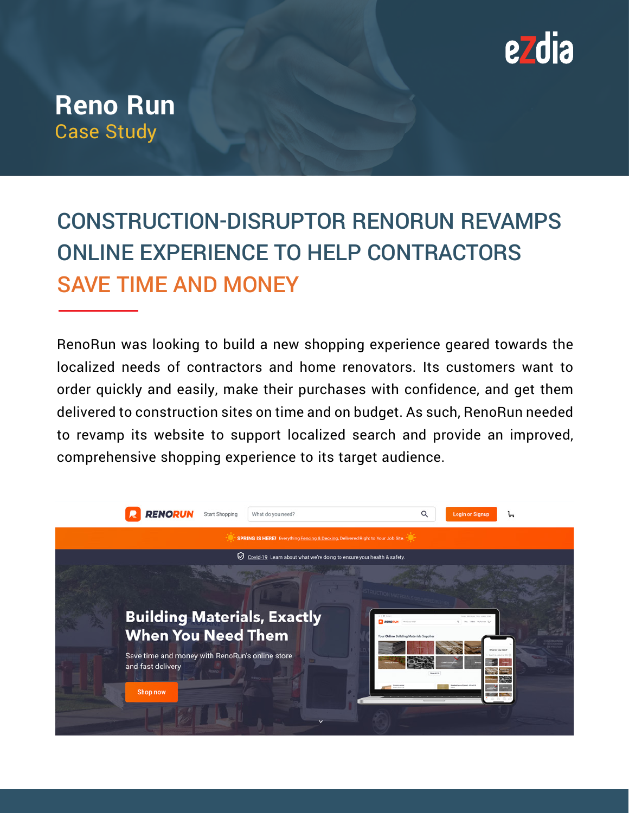

## **Reno Run**  Case Study

# CONSTRUCTION-DISRUPTOR RENORUN REVAMPS ONLINE EXPERIENCE TO HELP CONTRACTORS SAVE TIME AND MONEY

RenoRun was looking to build a new shopping experience geared towards the localized needs of contractors and home renovators. Its customers want to order quickly and easily, make their purchases with confidence, and get them delivered to construction sites on time and on budget. As such, RenoRun needed to revamp its website to support localized search and provide an improved, comprehensive shopping experience to its target audience.

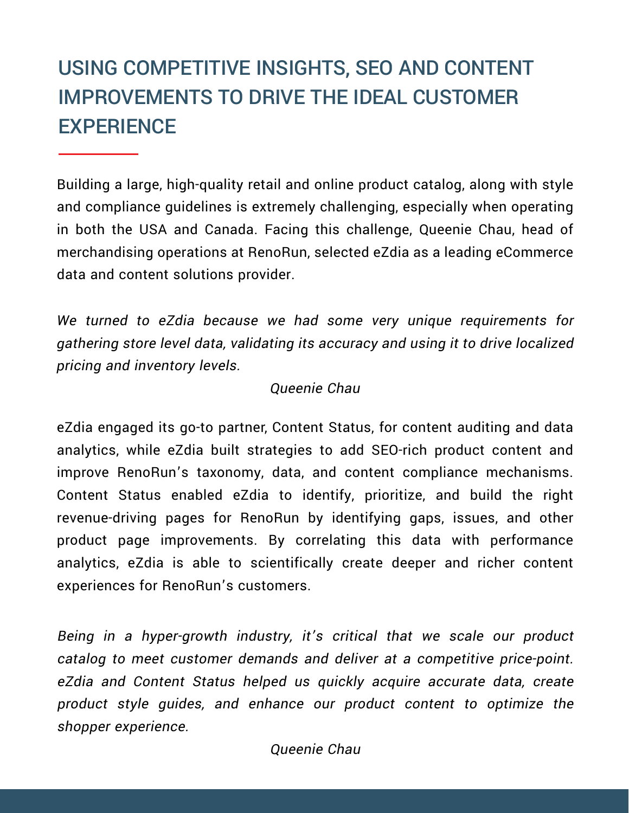## USING COMPETITIVE INSIGHTS, SEO AND CONTENT IMPROVEMENTS TO DRIVE THE IDEAL CUSTOMER **EXPERIENCE**

Building a large, high-quality retail and online product catalog, along with style and compliance guidelines is extremely challenging, especially when operating in both the USA and Canada. Facing this challenge, Queenie Chau, head of merchandising operations at RenoRun, selected eZdia as a leading eCommerce data and content solutions provider.

We turned to eZdia because we had some very unique requirements for gathering store level data, validating its accuracy and using it to drive localized pricing and inventory levels.

#### Queenie Chau

eZdia engaged its go-to partner, Content Status, for content auditing and data analytics, while eZdia built strategies to add SEO-rich product content and improve RenoRun's taxonomy, data, and content compliance mechanisms. Content Status enabled eZdia to identify, prioritize, and build the right revenue-driving pages for RenoRun by identifying gaps, issues, and other product page improvements. By correlating this data with performance analytics, eZdia is able to scientifically create deeper and richer content experiences for RenoRun's customers.

Being in a hyper-growth industry, it's critical that we scale our product catalog to meet customer demands and deliver at a competitive price-point. eZdia and Content Status helped us quickly acquire accurate data, create product style guides, and enhance our product content to optimize the shopper experience.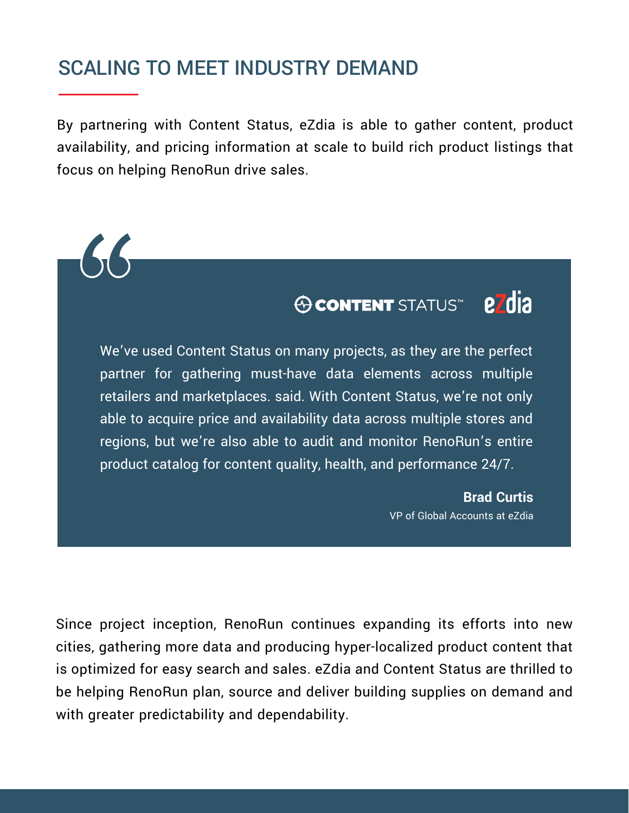### SCALING TO MEET INDUSTRY DEMAND

By partnering with Content Status, eZdia is able to gather content, product availability, and pricing information at scale to build rich product listings that focus on helping RenoRun drive sales.



We've used Content Status on many projects, as they are the perfect partner for gathering must-have data elements across multiple retailers and marketplaces. said. With Content Status, we're not only able to acquire price and availability data across multiple stores and regions, but we're also able to audit and monitor RenoRun's entire product catalog for content quality, health, and performance 24/7.

> **Brad Curtis** VP of Global Accounts at eZdia

Since project inception, RenoRun continues expanding its efforts into new cities, gathering more data and producing hyper-localized product content that is optimized for easy search and sales. eZdia and Content Status are thrilled to be helping RenoRun plan, source and deliver building supplies on demand and with greater predictability and dependability.